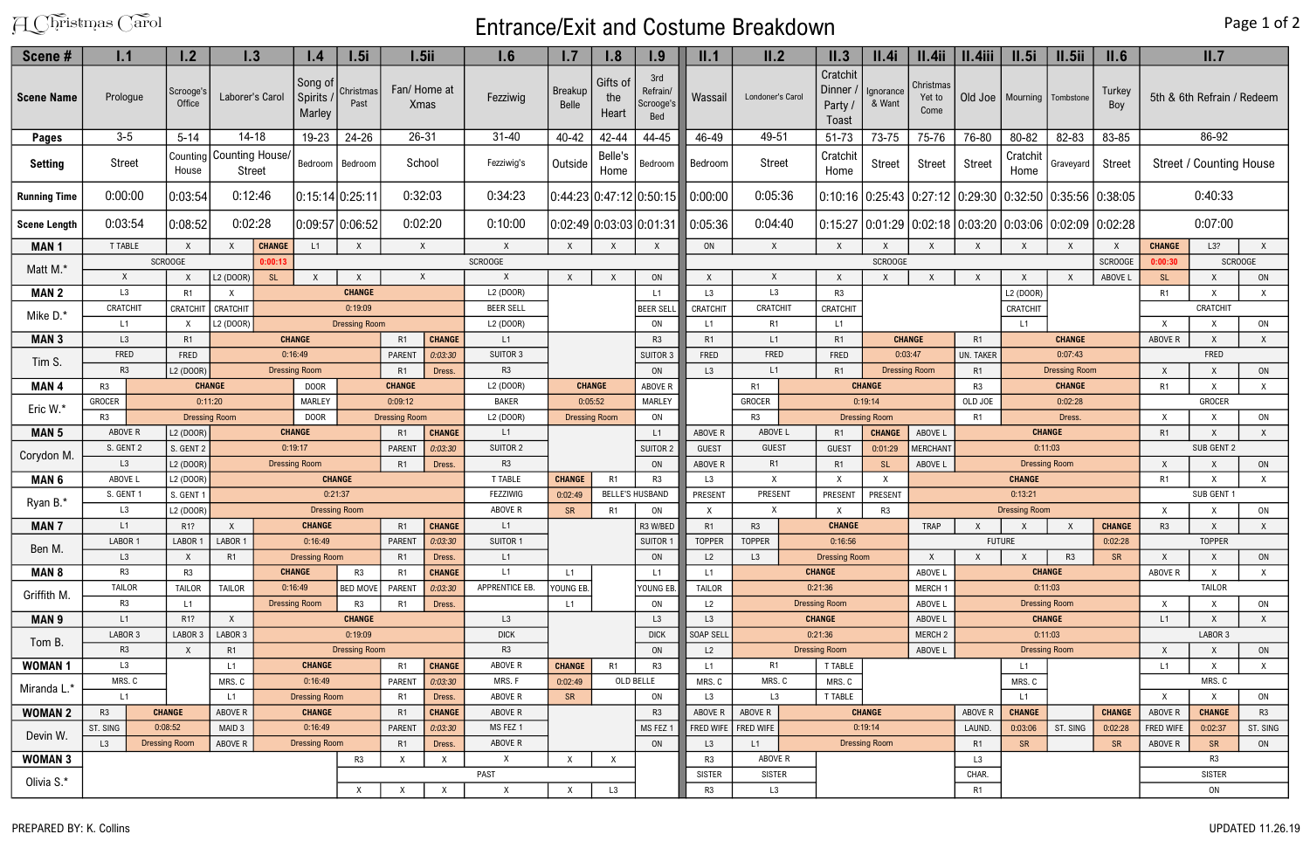## A Christmas Carol **Entrance/Exit and Costume Breakdown**

## Page 1 of 2

| Scene#              | 1.1                                         |                                       | 1.2                    | $\mathsf{I}.\mathsf{3}$                     |                                       |                                     | 1.5i                       | $1.5$ ii                   |                           | 1.6                   | 1.7                              | 1.8                       | 1.9                                 | II.1                                                      | II.2                                      | II.3                                   | II.4i                                                                    | II.4ii                      | II.4iii                                       | II.5i                     | II.5ii        | II.6                                             |                              | II.7                           |              |
|---------------------|---------------------------------------------|---------------------------------------|------------------------|---------------------------------------------|---------------------------------------|-------------------------------------|----------------------------|----------------------------|---------------------------|-----------------------|----------------------------------|---------------------------|-------------------------------------|-----------------------------------------------------------|-------------------------------------------|----------------------------------------|--------------------------------------------------------------------------|-----------------------------|-----------------------------------------------|---------------------------|---------------|--------------------------------------------------|------------------------------|--------------------------------|--------------|
| Scene Name          | Prologue                                    |                                       | Scrooge's<br>Office    | Laborer's Carol                             |                                       | Song of<br><b>Spirits</b><br>Marley | Christmas<br>Past          | Fan/Home at<br><b>Xmas</b> |                           | Fezziwig              | Breakup<br><b>Belle</b>          | Gifts of<br>the<br>Heart  | 3rd<br>Refrain/<br>Scrooge's<br>Bed | Wassail                                                   | Londoner's Carol                          | Cratchit<br>Dinner /<br>Party<br>Toast | Ignorance<br>& Want                                                      | Christmas<br>Yet to<br>Come | Old Joe                                       | Mourning   Tombstone      |               | Turkey<br>Boy                                    |                              | 5th & 6th Refrain / Redeem     |              |
| <b>Pages</b>        | $3-5$<br>$5 - 14$                           |                                       | $14 - 18$<br>19-23     |                                             |                                       | $24 - 26$                           | $26 - 31$                  |                            | $31 - 40$                 | $40 - 42$             | 42-44                            | 44-45                     | 46-49                               | 49-51                                                     | 51-73                                     | 73-75                                  | 75-76                                                                    | 76-80                       | 80-82                                         | 82-83                     | 83-85         |                                                  | 86-92                        |                                |              |
| <b>Setting</b>      | <b>Street</b>                               |                                       | House                  | Counting   Counting House/<br><b>Street</b> |                                       | Bedroom                             | Bedroom                    | School                     |                           | Fezziwig's            | Belle's<br>Outside<br>Home       |                           | Bedroom                             | Bedroom                                                   | <b>Street</b>                             | Cratchit<br>Home                       | Street<br><b>Street</b>                                                  |                             |                                               | Cratchit<br>Home          | Graveyard     | <b>Street</b>                                    |                              | <b>Street / Counting House</b> |              |
| <b>Running Time</b> | 0:00:00                                     |                                       | 0:03:54                | 0:12:46                                     |                                       |                                     | 0:32:03<br>0:15:14 0:25:11 |                            |                           | 0:34:23               | 0:44:23 0:47:12 0:50:15  0:00:00 |                           |                                     |                                                           | 0:05:36                                   |                                        | 0:10:16   0:25:43   0:27:12   0:29:30  <br>$0.32:50$ $0.35:56$ $0.38:05$ |                             |                                               |                           |               | 0:40:33                                          |                              |                                |              |
| <b>Scene Length</b> | 0:03:54                                     |                                       | 0:08:52                | 0:02:28                                     |                                       | 0:09:57 0:06:52                     |                            | 0:02:20                    |                           | 0:10:00               | 0:02:49 0:03:03 0:01:31          |                           |                                     | 0:05:36                                                   | 0:04:40                                   |                                        | 0:15:27   0:01:29   0:02:18   0:03:20   0:03:06   0:02:09   0:02:28      |                             |                                               |                           |               |                                                  |                              | 0:07:00                        |              |
| <b>MAN1</b>         |                                             | T TABLE<br>$\mathsf{X}$               |                        |                                             | <b>CHANGE</b>                         | L1                                  | X                          | X                          |                           | X                     | X                                | X                         |                                     | ON                                                        | $\mathsf{X}$<br>$\boldsymbol{\mathsf{X}}$ |                                        | X                                                                        |                             |                                               |                           |               |                                                  | <b>CHANGE</b>                | L3?                            | X            |
| Matt M.*            |                                             |                                       | <b>SCROOGE</b>         | 0:00:13                                     |                                       |                                     |                            |                            |                           | <b>SCROOGE</b>        |                                  |                           |                                     |                                                           |                                           | <b>SCROOGE</b>                         |                                                                          |                             |                                               |                           |               | <b>SCROOGE</b>                                   | 0:00:30                      | <b>SCROOGE</b>                 |              |
|                     | $\sf X$                                     |                                       | $\mathsf{X}$           | L2 (DOOR)                                   | SL                                    |                                     | $\mathsf{X}$               | X                          |                           |                       | $\times$                         | $\boldsymbol{\mathsf{X}}$ | ON                                  |                                                           | $\mathsf{X}$                              | X                                      | $\boldsymbol{\mathsf{X}}$                                                |                             | $\times$                                      | $\boldsymbol{\mathsf{x}}$ |               | ABOVE L                                          | <b>SL</b>                    | $\mathsf{x}$                   | ON           |
| <b>MAN2</b>         | L <sub>3</sub><br>R1                        |                                       |                        |                                             |                                       |                                     | <b>CHANGE</b>              |                            |                           | L2 (DOOR)             |                                  |                           | L1                                  | L3                                                        | L <sub>3</sub>                            | R <sub>3</sub>                         |                                                                          |                             |                                               | L2 (DOOR)                 |               |                                                  | R1                           | $\mathsf{X}$                   | $\mathsf{X}$ |
| Mike D.*            | CRATCHIT                                    |                                       | CRATCHIT               | CRATCHIT                                    |                                       |                                     | 0:19:09                    |                            |                           | <b>BEER SELL</b>      |                                  |                           | <b>BEER SELI</b>                    | CRATCHIT                                                  | <b>CRATCHIT</b>                           | CRATCHIT                               |                                                                          |                             |                                               | CRATCHIT                  |               |                                                  |                              | <b>CRATCHIT</b>                |              |
|                     |                                             | L1<br>X                               |                        | L2 (DOOR)                                   |                                       | <b>Dressing Room</b>                |                            |                            |                           | L <sub>2</sub> (DOOR) |                                  |                           | ON                                  | L1                                                        | R1                                        | L1                                     |                                                                          |                             |                                               | L1                        |               |                                                  | $\mathsf{X}$                 | X                              | ON           |
| <b>MAN 3</b>        |                                             | L3<br>R1                              |                        |                                             |                                       | <b>CHANGE</b>                       |                            | R1                         | <b>CHANGE</b>             | L1                    |                                  |                           | R <sub>3</sub>                      | R <sub>1</sub>                                            | L1                                        | R1                                     |                                                                          | <b>CHANGE</b>               | R1                                            |                           | <b>CHANGE</b> |                                                  | ABOVE R                      | $\mathsf{X}$                   | $\mathsf{X}$ |
| Tim S.              | FRED                                        |                                       | FRED                   |                                             |                                       | 0:16:49                             |                            | PARENT<br>0:03:30          |                           | SUITOR 3              |                                  |                           | SUITOR 3                            | FRED                                                      | FRED                                      | FRED                                   |                                                                          | 0:03:47                     | <b>UN. TAKER</b>                              |                           | 0:07:43       |                                                  |                              | FRED                           |              |
|                     |                                             | R <sub>3</sub><br>L2 (DOOR)           |                        |                                             |                                       | <b>Dressing Room</b>                |                            | R <sub>1</sub><br>Dress.   |                           | R <sub>3</sub>        |                                  |                           | ON                                  | L3                                                        | L1                                        | R1<br><b>Dressing Room</b>             |                                                                          |                             | R1                                            | <b>Dressing Room</b>      |               |                                                  | X                            | $\boldsymbol{\mathsf{X}}$      | ON           |
| MAN <sub>4</sub>    | R <sub>3</sub>                              |                                       | <b>CHANGE</b>          |                                             |                                       | <b>DOOR</b>                         |                            | <b>CHANGE</b>              |                           | L2 (DOOR)             | <b>CHANGE</b>                    |                           | ABOVE R                             |                                                           | R1                                        |                                        | <b>CHANGE</b>                                                            |                             | R <sub>3</sub>                                | <b>CHANGE</b>             |               |                                                  | R <sub>1</sub>               | $\mathsf{X}$                   | $\mathsf{X}$ |
| Eric W.*            | GROCER                                      |                                       |                        | 0:11:20                                     |                                       | MARLEY                              | 0:09:12                    |                            |                           | <b>BAKER</b>          | 0:05:52                          |                           | MARLEY                              |                                                           | GROCER                                    |                                        | 0:19:14                                                                  |                             | OLD JOE                                       | 0:02:28                   |               |                                                  | GROCER                       |                                |              |
|                     | R3                                          |                                       | <b>Dressing Room</b>   |                                             |                                       | <b>DOOR</b>                         | <b>Dressing Room</b>       |                            |                           | L2 (DOOR)             | <b>Dressing Room</b>             |                           | ON                                  |                                                           | R3                                        | <b>Dressing Room</b>                   |                                                                          |                             | R1                                            | Dress.                    |               | $\boldsymbol{\mathsf{x}}$                        | $\boldsymbol{\mathsf{X}}$    | ON                             |              |
| <b>MAN 5</b>        | ABOVE R                                     |                                       | L2 (DOOR)              |                                             |                                       | <b>CHANGE</b>                       |                            | R1                         | <b>CHANGE</b>             | L1                    |                                  |                           | L1                                  | ABOVE R                                                   | ABOVE L                                   | <b>CHANGE</b><br>R1                    |                                                                          | ABOVE L                     |                                               | <b>CHANGE</b>             |               |                                                  | R <sub>1</sub>               | $\mathsf{X}$                   | $\mathsf{X}$ |
| Corydon M.          | S. GENT 2                                   |                                       | S. GENT 2<br>L2 (DOOR) |                                             |                                       | 0:19:17                             |                            | PARENT<br>0:03:30<br>R1    |                           | SUITOR 2              |                                  |                           | SUITOR 2                            | <b>GUEST</b>                                              | <b>GUEST</b>                              | <b>GUEST</b>                           | <b>MERCHAN</b><br>0:01:29                                                |                             | 0:11:03                                       |                           |               |                                                  | SUB GENT 2                   |                                |              |
|                     |                                             | L <sub>3</sub>                        |                        | <b>Dressing Room</b>                        |                                       |                                     |                            |                            | Dress.                    | R3                    | ON                               |                           | ABOVE R                             | R1                                                        | R1<br><b>SL</b>                           |                                        | ABOVE L                                                                  |                             | <b>Dressing Room</b>                          |                           |               |                                                  |                              | ON                             |              |
| <b>MAN 6</b>        | ABOVE L<br>S. GENT 1                        |                                       | L2 (DOOR)              | <b>CHANGE</b><br>0:21:37                    |                                       |                                     |                            |                            | <b>T TABLE</b>            | <b>CHANGE</b>         | R1                               | R3                        | L3                                  | $\boldsymbol{\mathsf{X}}$<br>$\mathsf{X}$<br>$\mathsf{X}$ |                                           |                                        |                                                                          |                             | <b>CHANGE</b><br>0:13:21                      |                           |               | R1<br>$\mathsf{X}$<br>$\mathsf{X}$<br>SUB GENT 1 |                              |                                |              |
| Ryan B.'            |                                             |                                       | S. GENT 1              |                                             |                                       |                                     |                            |                            |                           | FEZZIWIG              | 0:02:49                          | <b>BELLE'S HUSBAND</b>    |                                     | PRESENT                                                   | PRESENT<br>PRESEN<br>PRESENT              |                                        |                                                                          |                             |                                               |                           |               | ON<br>$\times$                                   |                              |                                |              |
|                     |                                             | L <sub>3</sub><br>L2 (DOOR)           |                        |                                             | <b>Dressing Room</b><br><b>CHANGE</b> |                                     |                            |                            |                           | ABOVE R               | <b>SR</b>                        | R1                        | ON                                  |                                                           | X                                         | X                                      | R <sub>3</sub>                                                           |                             |                                               | <b>Dressing Room</b>      |               |                                                  |                              |                                |              |
| <b>MAN7</b>         |                                             | R1?<br>L1                             |                        | $\Lambda$                                   |                                       | 0:16:49                             |                            | R1                         | <b>CHANGE</b>             | L1<br>SUITOR 1        | SUITOR 1                         |                           | R3 W/BED                            | R1<br><b>TOPPER</b>                                       | R3                                        | <b>CHANGE</b><br>0:16:56               |                                                                          | <b>TRAP</b>                 | $\mathsf{X}$<br>$\mathsf{X}$<br><b>FUTURE</b> |                           | <b>CHANGE</b> | R <sub>3</sub>                                   | X<br><b>TOPPER</b>           | $\mathsf{X}$                   |              |
| Ben M.              | LABOR 1                                     |                                       | LABOR 1                | LABOR 1<br>R1                               |                                       | <b>Dressing Room</b>                |                            | PARENT<br>R1               | 0:03:30<br>Dress.         | L1                    |                                  |                           | ON                                  | L2                                                        | <b>TOPPER</b><br>L3                       | <b>Dressing Room</b>                   |                                                                          |                             | $\sf X$<br>$\boldsymbol{\mathsf{X}}$          |                           | R3            | 0:02:28<br><b>SR</b>                             | X                            | $\boldsymbol{\mathsf{X}}$      | ON           |
| <b>MAN 8</b>        | R <sub>3</sub>                              | L3<br>$\boldsymbol{\mathsf{X}}$<br>R3 |                        |                                             | <b>CHANGE</b>                         |                                     | R3                         | R1                         | <b>CHANGE</b>             | L1                    | L1                               |                           | L1                                  | L1                                                        |                                           | <b>CHANGE</b>                          |                                                                          | ABOVE L                     |                                               |                           | <b>CHANGE</b> |                                                  | ABOVE R                      | $\mathsf{X}$                   | $\times$     |
|                     |                                             | <b>TAILOR</b><br><b>TAILOR</b>        |                        | <b>TAILOR</b>                               | 0:16:49                               |                                     | <b>BED MOVE</b>            | PARENT                     | 0:03:30                   | APPRENTICE EB.        | YOUNG EB.                        |                           | YOUNG EB.                           | <b>TAILOR</b>                                             |                                           | 0:21:36                                |                                                                          | MERCH 1                     |                                               | 0:11:03                   |               |                                                  |                              | <b>TAILOR</b>                  |              |
| Griffith M.         | R <sub>3</sub>                              |                                       | L1                     |                                             | <b>Dressing Room</b>                  |                                     | R3                         | R1                         | Dress.                    |                       | L1                               |                           | ON                                  | L2                                                        |                                           | <b>Dressing Room</b>                   |                                                                          | ABOVE L                     |                                               | <b>Dressing Room</b>      |               | $\boldsymbol{\mathsf{X}}$                        | X                            | ON                             |              |
| <b>MAN 9</b>        | L1                                          |                                       | R <sub>1</sub> ?       | X                                           |                                       |                                     | <b>CHANGE</b>              |                            |                           | L3                    |                                  |                           | L3                                  | L3                                                        |                                           | <b>CHANGE</b>                          |                                                                          | ABOVE L                     |                                               |                           | <b>CHANGE</b> |                                                  | L1                           | $\times$                       | $\mathsf{X}$ |
|                     | LABOR 3                                     |                                       | LABOR 3                | LABOR 3                                     |                                       | 0:19:09                             |                            |                            |                           | <b>DICK</b>           |                                  |                           | <b>DICK</b>                         | SOAP SELI                                                 |                                           | 0:21:36                                |                                                                          | MERCH 2                     |                                               | 0:11:03                   |               |                                                  |                              | LABOR 3                        |              |
| Tom B.              | R <sub>3</sub>                              |                                       | $\mathsf{X}$           | R1                                          |                                       | <b>Dressing Room</b>                |                            |                            |                           | R3                    |                                  |                           | ON                                  | L2                                                        |                                           | <b>Dressing Room</b>                   |                                                                          | ABOVE L                     |                                               | <b>Dressing Room</b>      |               |                                                  | $\mathsf{X}$<br>$\mathsf{X}$ |                                | ON           |
| <b>WOMAN1</b>       | L3                                          |                                       |                        | L1                                          |                                       | <b>CHANGE</b>                       |                            | R <sub>1</sub>             | <b>CHANGE</b>             | ABOVE R               | <b>CHANGE</b>                    | R1                        | R3                                  | L1                                                        | R1<br><b>T TABLE</b>                      |                                        |                                                                          |                             |                                               | L1                        |               |                                                  | L1                           | $\mathsf{X}$                   | $\mathsf{X}$ |
|                     | MRS. C                                      |                                       |                        | MRS. C                                      |                                       | 0:16:49                             |                            | PARENT                     | 0:03:30                   | MRS. F                | 0:02:49                          |                           | OLD BELLE                           | MRS. C                                                    | MRS. C                                    | MRS. C                                 |                                                                          |                             |                                               | MRS. C                    |               |                                                  |                              | MRS. C                         |              |
| Miranda L.*         | L1                                          |                                       |                        | L1                                          |                                       | <b>Dressing Room</b>                |                            | R1                         | Dress.                    | ABOVE R               | <b>SR</b>                        |                           | ON                                  | L <sub>3</sub>                                            | L3                                        | <b>T TABLE</b>                         |                                                                          |                             | L1                                            |                           |               |                                                  | $\mathsf{X}$                 | $\mathsf{X}$                   | ON           |
| <b>WOMAN 2</b>      | <b>CHANGE</b><br>R3                         |                                       | ABOVE R                | <b>CHANGE</b>                               |                                       |                                     | R1                         | <b>CHANGE</b>              | ABOVE R                   |                       |                                  | R <sub>3</sub>            | ABOVE R                             | ABOVE R                                                   |                                           | <b>CHANGE</b>                          |                                                                          | ABOVE R                     | <b>CHANGE</b>                                 |                           | <b>CHANGE</b> | ABOVE R                                          | <b>CHANGE</b>                | R3                             |              |
| Devin W.            | 0:08:52<br>ST. SING<br><b>Dressing Room</b> |                                       |                        | MAID <sub>3</sub>                           | 0:16:49                               |                                     |                            | PARENT                     | 0:03:30                   | MS FEZ 1              |                                  |                           | MS FEZ 1                            | <b>FRED WIFE</b>                                          | FRED WIFE                                 |                                        | 0:19:14                                                                  |                             | LAUND.                                        | 0:03:06                   | ST. SING      | 0:02:28                                          | FRED WIFE                    | 0:02:37                        | ST. SING     |
|                     | L3                                          |                                       |                        | ABOVE R                                     |                                       | <b>Dressing Room</b>                |                            | R1                         | Dress.                    | ABOVE R               |                                  |                           | ON                                  | L3                                                        | L1                                        |                                        | <b>Dressing Room</b>                                                     |                             | R1                                            | <b>SR</b>                 |               | SR                                               | ABOVE R                      | SR                             | ON           |
| <b>WOMAN 3</b>      |                                             |                                       |                        |                                             |                                       |                                     | R3                         |                            | $\times$                  | X                     | $\mathsf{X}$                     | $\mathsf{X}$              |                                     | R3                                                        | ABOVE R                                   |                                        |                                                                          |                             | L <sub>3</sub>                                |                           |               |                                                  |                              | R3                             |              |
| Olivia S.*          |                                             |                                       |                        |                                             |                                       |                                     |                            |                            |                           | PAST                  |                                  |                           |                                     | <b>SISTER</b>                                             | <b>SISTER</b>                             |                                        |                                                                          |                             | CHAR.                                         |                           |               |                                                  | <b>SISTER</b>                |                                |              |
|                     |                                             |                                       |                        |                                             |                                       |                                     | X                          |                            | $\boldsymbol{\mathsf{X}}$ | Χ                     | $\times$                         | L <sub>3</sub>            |                                     | R3                                                        | L3                                        |                                        |                                                                          |                             | R1                                            |                           |               |                                                  |                              | ON                             |              |